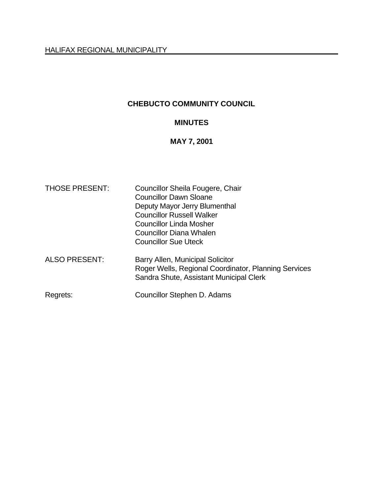# **CHEBUCTO COMMUNITY COUNCIL**

# **MINUTES**

## **MAY 7, 2001**

| <b>THOSE PRESENT:</b> | Councillor Sheila Fougere, Chair<br><b>Councillor Dawn Sloane</b><br>Deputy Mayor Jerry Blumenthal<br><b>Councillor Russell Walker</b><br><b>Councillor Linda Mosher</b><br>Councillor Diana Whalen<br><b>Councillor Sue Uteck</b> |
|-----------------------|------------------------------------------------------------------------------------------------------------------------------------------------------------------------------------------------------------------------------------|
| <b>ALSO PRESENT:</b>  | Barry Allen, Municipal Solicitor<br>Roger Wells, Regional Coordinator, Planning Services<br>Sandra Shute, Assistant Municipal Clerk                                                                                                |
| Regrets:              | Councillor Stephen D. Adams                                                                                                                                                                                                        |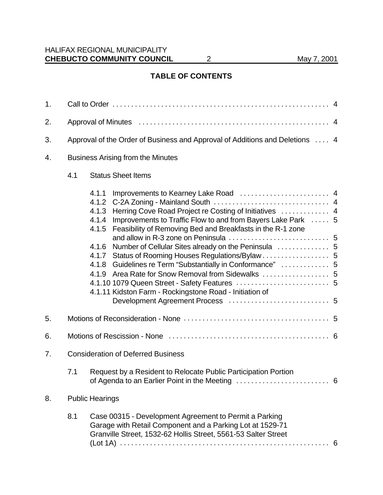# **TABLE OF CONTENTS**

| 1. |                                                                              |                                                                                                                                                                                                                                                                                                                                                                        |  |  |  |
|----|------------------------------------------------------------------------------|------------------------------------------------------------------------------------------------------------------------------------------------------------------------------------------------------------------------------------------------------------------------------------------------------------------------------------------------------------------------|--|--|--|
| 2. |                                                                              |                                                                                                                                                                                                                                                                                                                                                                        |  |  |  |
| 3. | Approval of the Order of Business and Approval of Additions and Deletions  4 |                                                                                                                                                                                                                                                                                                                                                                        |  |  |  |
| 4. | <b>Business Arising from the Minutes</b>                                     |                                                                                                                                                                                                                                                                                                                                                                        |  |  |  |
|    | <b>Status Sheet Items</b><br>4.1                                             |                                                                                                                                                                                                                                                                                                                                                                        |  |  |  |
|    |                                                                              | 4.1.1<br>4.1.2<br>Herring Cove Road Project re Costing of Initiatives  4<br>4.1.3<br>Improvements to Traffic Flow to and from Bayers Lake Park  5<br>4.1.4<br>Feasibility of Removing Bed and Breakfasts in the R-1 zone<br>4.1.5<br>4.1.6<br>Guidelines re Term "Substantially in Conformance"  5<br>4.1.8<br>4.1.11 Kidston Farm - Rockingstone Road - Initiation of |  |  |  |
| 5. |                                                                              |                                                                                                                                                                                                                                                                                                                                                                        |  |  |  |
| 6. |                                                                              |                                                                                                                                                                                                                                                                                                                                                                        |  |  |  |
| 7. | <b>Consideration of Deferred Business</b>                                    |                                                                                                                                                                                                                                                                                                                                                                        |  |  |  |
|    | 7.1                                                                          | Request by a Resident to Relocate Public Participation Portion                                                                                                                                                                                                                                                                                                         |  |  |  |
| 8. |                                                                              | <b>Public Hearings</b>                                                                                                                                                                                                                                                                                                                                                 |  |  |  |
|    | 8.1                                                                          | Case 00315 - Development Agreement to Permit a Parking<br>Garage with Retail Component and a Parking Lot at 1529-71<br>Granville Street, 1532-62 Hollis Street, 5561-53 Salter Street                                                                                                                                                                                  |  |  |  |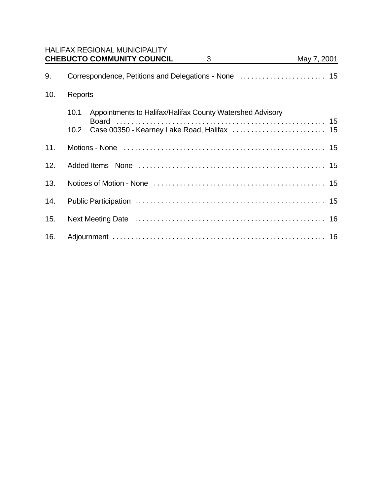|     |         | <b>HALIFAX REGIONAL MUNICIPALITY</b>                      |   |             |  |
|-----|---------|-----------------------------------------------------------|---|-------------|--|
|     |         | <b>CHEBUCTO COMMUNITY COUNCIL</b>                         | 3 | May 7, 2001 |  |
| 9.  |         |                                                           |   |             |  |
| 10. | Reports |                                                           |   |             |  |
|     | 10.1    | Appointments to Halifax/Halifax County Watershed Advisory |   |             |  |
|     |         |                                                           |   |             |  |
| 11. |         |                                                           |   |             |  |
| 12. |         |                                                           |   |             |  |
| 13. |         |                                                           |   |             |  |
| 14. |         |                                                           |   |             |  |
| 15. |         |                                                           |   |             |  |
| 16. |         |                                                           |   |             |  |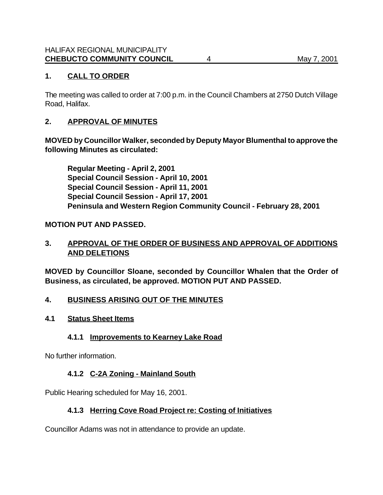# **1. CALL TO ORDER**

The meeting was called to order at 7:00 p.m. in the Council Chambers at 2750 Dutch Village Road, Halifax.

# **2. APPROVAL OF MINUTES**

**MOVED by Councillor Walker, seconded by Deputy Mayor Blumenthal to approve the following Minutes as circulated:**

**Regular Meeting - April 2, 2001 Special Council Session - April 10, 2001 Special Council Session - April 11, 2001 Special Council Session - April 17, 2001 Peninsula and Western Region Community Council - February 28, 2001**

# **MOTION PUT AND PASSED.**

# **3. APPROVAL OF THE ORDER OF BUSINESS AND APPROVAL OF ADDITIONS AND DELETIONS**

**MOVED by Councillor Sloane, seconded by Councillor Whalen that the Order of Business, as circulated, be approved. MOTION PUT AND PASSED.**

## **4. BUSINESS ARISING OUT OF THE MINUTES**

## **4.1 Status Sheet Items**

# **4.1.1 Improvements to Kearney Lake Road**

No further information.

# **4.1.2 C-2A Zoning - Mainland South**

Public Hearing scheduled for May 16, 2001.

# **4.1.3 Herring Cove Road Project re: Costing of Initiatives**

Councillor Adams was not in attendance to provide an update.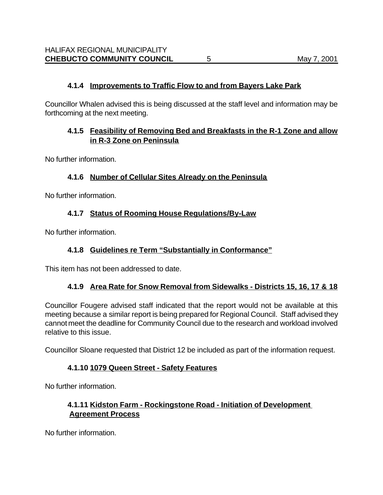## **4.1.4 Improvements to Traffic Flow to and from Bayers Lake Park**

Councillor Whalen advised this is being discussed at the staff level and information may be forthcoming at the next meeting.

# **4.1.5 Feasibility of Removing Bed and Breakfasts in the R-1 Zone and allow in R-3 Zone on Peninsula**

No further information.

## **4.1.6 Number of Cellular Sites Already on the Peninsula**

No further information.

## **4.1.7 Status of Rooming House Regulations/By-Law**

No further information.

# **4.1.8 Guidelines re Term "Substantially in Conformance"**

This item has not been addressed to date.

## **4.1.9 Area Rate for Snow Removal from Sidewalks - Districts 15, 16, 17 & 18**

Councillor Fougere advised staff indicated that the report would not be available at this meeting because a similar report is being prepared for Regional Council. Staff advised they cannot meet the deadline for Community Council due to the research and workload involved relative to this issue.

Councillor Sloane requested that District 12 be included as part of the information request.

## **4.1.10 1079 Queen Street - Safety Features**

No further information.

## **4.1.11 Kidston Farm - Rockingstone Road - Initiation of Development Agreement Process**

No further information.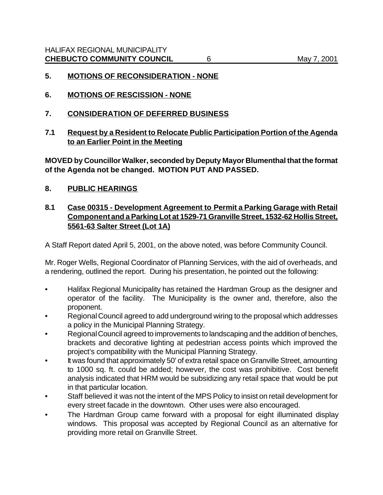#### **5. MOTIONS OF RECONSIDERATION - NONE**

- **6. MOTIONS OF RESCISSION NONE**
- **7. CONSIDERATION OF DEFERRED BUSINESS**
- **7.1 Request by a Resident to Relocate Public Participation Portion of the Agenda to an Earlier Point in the Meeting**

**MOVED by Councillor Walker, seconded by Deputy Mayor Blumenthal that the format of the Agenda not be changed. MOTION PUT AND PASSED.**

#### **8. PUBLIC HEARINGS**

## **8.1 Case 00315 - Development Agreement to Permit a Parking Garage with Retail Component and a Parking Lot at 1529-71 Granville Street, 1532-62 Hollis Street, 5561-63 Salter Street (Lot 1A)**

A Staff Report dated April 5, 2001, on the above noted, was before Community Council.

Mr. Roger Wells, Regional Coordinator of Planning Services, with the aid of overheads, and a rendering, outlined the report. During his presentation, he pointed out the following:

- Halifax Regional Municipality has retained the Hardman Group as the designer and operator of the facility. The Municipality is the owner and, therefore, also the proponent.
- Regional Council agreed to add underground wiring to the proposal which addresses a policy in the Municipal Planning Strategy.
- Regional Council agreed to improvements to landscaping and the addition of benches, brackets and decorative lighting at pedestrian access points which improved the project's compatibility with the Municipal Planning Strategy.
- It was found that approximately 50' of extra retail space on Granville Street, amounting to 1000 sq. ft. could be added; however, the cost was prohibitive. Cost benefit analysis indicated that HRM would be subsidizing any retail space that would be put in that particular location.
- Staff believed it was not the intent of the MPS Policy to insist on retail development for every street facade in the downtown. Other uses were also encouraged.
- The Hardman Group came forward with a proposal for eight illuminated display windows. This proposal was accepted by Regional Council as an alternative for providing more retail on Granville Street.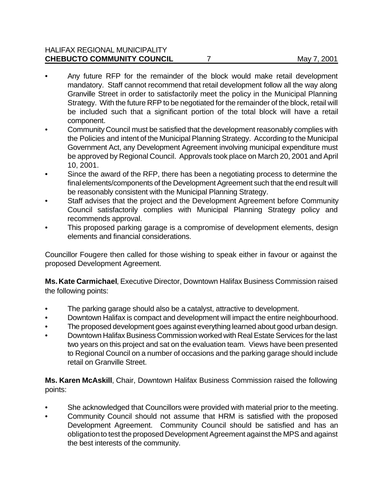#### HALIFAX REGIONAL MUNICIPALITY **CHEBUCTO COMMUNITY COUNCIL** 7 May 7, 2001

- Any future RFP for the remainder of the block would make retail development mandatory. Staff cannot recommend that retail development follow all the way along Granville Street in order to satisfactorily meet the policy in the Municipal Planning Strategy. With the future RFP to be negotiated for the remainder of the block, retail will be included such that a significant portion of the total block will have a retail component.
- Community Council must be satisfied that the development reasonably complies with the Policies and intent of the Municipal Planning Strategy. According to the Municipal Government Act, any Development Agreement involving municipal expenditure must be approved by Regional Council. Approvals took place on March 20, 2001 and April 10, 2001.
- Since the award of the RFP, there has been a negotiating process to determine the final elements/components of the Development Agreement such that the end result will be reasonably consistent with the Municipal Planning Strategy.
- Staff advises that the project and the Development Agreement before Community Council satisfactorily complies with Municipal Planning Strategy policy and recommends approval.
- This proposed parking garage is a compromise of development elements, design elements and financial considerations.

Councillor Fougere then called for those wishing to speak either in favour or against the proposed Development Agreement.

**Ms. Kate Carmichael**, Executive Director, Downtown Halifax Business Commission raised the following points:

- The parking garage should also be a catalyst, attractive to development.
- Downtown Halifax is compact and development will impact the entire neighbourhood.
- The proposed development goes against everything learned about good urban design.
- Downtown Halifax Business Commission worked with Real Estate Services for the last two years on this project and sat on the evaluation team. Views have been presented to Regional Council on a number of occasions and the parking garage should include retail on Granville Street.

**Ms. Karen McAskill**, Chair, Downtown Halifax Business Commission raised the following points:

- She acknowledged that Councillors were provided with material prior to the meeting.
- Community Council should not assume that HRM is satisfied with the proposed Development Agreement. Community Council should be satisfied and has an obligation to test the proposed Development Agreement against the MPS and against the best interests of the community.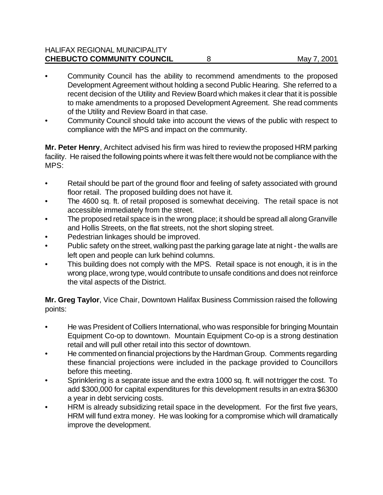#### HALIFAX REGIONAL MUNICIPALITY **CHEBUCTO COMMUNITY COUNCIL** 8 May 7, 2001

- Community Council has the ability to recommend amendments to the proposed Development Agreement without holding a second Public Hearing. She referred to a recent decision of the Utility and Review Board which makes it clear that it is possible to make amendments to a proposed Development Agreement. She read comments of the Utility and Review Board in that case.
- Community Council should take into account the views of the public with respect to compliance with the MPS and impact on the community.

**Mr. Peter Henry**, Architect advised his firm was hired to review the proposed HRM parking facility. He raised the following points where it was felt there would not be compliance with the MPS:

- Retail should be part of the ground floor and feeling of safety associated with ground floor retail. The proposed building does not have it.
- The 4600 sq. ft. of retail proposed is somewhat deceiving. The retail space is not accessible immediately from the street.
- The proposed retail space is in the wrong place; it should be spread all along Granville and Hollis Streets, on the flat streets, not the short sloping street.
- Pedestrian linkages should be improved.
- Public safety on the street, walking past the parking garage late at night the walls are left open and people can lurk behind columns.
- This building does not comply with the MPS. Retail space is not enough, it is in the wrong place, wrong type, would contribute to unsafe conditions and does not reinforce the vital aspects of the District.

**Mr. Greg Taylor**, Vice Chair, Downtown Halifax Business Commission raised the following points:

- He was President of Colliers International, who was responsible for bringing Mountain Equipment Co-op to downtown. Mountain Equipment Co-op is a strong destination retail and will pull other retail into this sector of downtown.
- He commented on financial projections by the Hardman Group. Comments regarding these financial projections were included in the package provided to Councillors before this meeting.
- Sprinklering is a separate issue and the extra 1000 sq. ft. will not trigger the cost. To add \$300,000 for capital expenditures for this development results in an extra \$6300 a year in debt servicing costs.
- HRM is already subsidizing retail space in the development. For the first five years, HRM will fund extra money. He was looking for a compromise which will dramatically improve the development.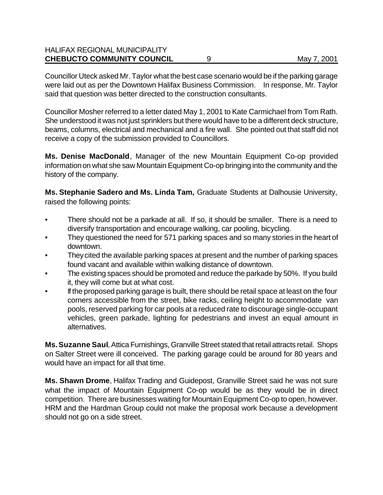#### HALIFAX REGIONAL MUNICIPALITY **CHEBUCTO COMMUNITY COUNCIL** 9 May 7, 2001

Councillor Uteck asked Mr. Taylor what the best case scenario would be if the parking garage were laid out as per the Downtown Halifax Business Commission. In response, Mr. Taylor said that question was better directed to the construction consultants.

Councillor Mosher referred to a letter dated May 1, 2001 to Kate Carmichael from Tom Rath. She understood it was not just sprinklers but there would have to be a different deck structure, beams, columns, electrical and mechanical and a fire wall. She pointed out that staff did not receive a copy of the submission provided to Councillors.

**Ms. Denise MacDonald**, Manager of the new Mountain Equipment Co-op provided information on what she saw Mountain Equipment Co-op bringing into the community and the history of the company.

**Ms. Stephanie Sadero and Ms. Linda Tam,** Graduate Students at Dalhousie University, raised the following points:

- There should not be a parkade at all. If so, it should be smaller. There is a need to diversify transportation and encourage walking, car pooling, bicycling.
- They questioned the need for 571 parking spaces and so many stories in the heart of downtown.
- They cited the available parking spaces at present and the number of parking spaces found vacant and available within walking distance of downtown.
- The existing spaces should be promoted and reduce the parkade by 50%. If you build it, they will come but at what cost.
- If the proposed parking garage is built, there should be retail space at least on the four corners accessible from the street, bike racks, ceiling height to accommodate van pools, reserved parking for car pools at a reduced rate to discourage single-occupant vehicles, green parkade, lighting for pedestrians and invest an equal amount in alternatives.

**Ms. Suzanne Saul**, Attica Furnishings, Granville Street stated that retail attracts retail. Shops on Salter Street were ill conceived. The parking garage could be around for 80 years and would have an impact for all that time.

**Ms. Shawn Drome**, Halifax Trading and Guidepost, Granville Street said he was not sure what the impact of Mountain Equipment Co-op would be as they would be in direct competition. There are businesses waiting for Mountain Equipment Co-op to open, however. HRM and the Hardman Group could not make the proposal work because a development should not go on a side street.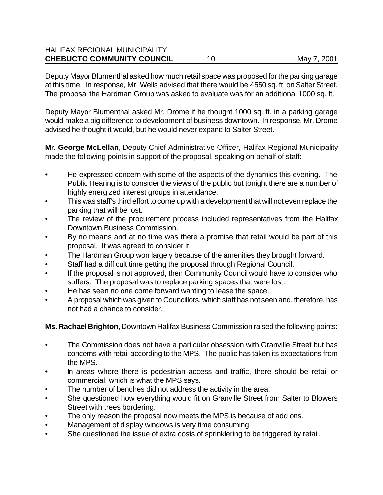#### HALIFAX REGIONAL MUNICIPALITY **CHEBUCTO COMMUNITY COUNCIL** 10 10 May 7, 2001

Deputy Mayor Blumenthal asked how much retail space was proposed for the parking garage at this time. In response, Mr. Wells advised that there would be 4550 sq. ft. on Salter Street. The proposal the Hardman Group was asked to evaluate was for an additional 1000 sq. ft.

Deputy Mayor Blumenthal asked Mr. Drome if he thought 1000 sq. ft. in a parking garage would make a big difference to development of business downtown. In response, Mr. Drome advised he thought it would, but he would never expand to Salter Street.

**Mr. George McLellan**, Deputy Chief Administrative Officer, Halifax Regional Municipality made the following points in support of the proposal, speaking on behalf of staff:

- He expressed concern with some of the aspects of the dynamics this evening. The Public Hearing is to consider the views of the public but tonight there are a number of highly energized interest groups in attendance.
- This was staff's third effort to come up with a development that will not even replace the parking that will be lost.
- The review of the procurement process included representatives from the Halifax Downtown Business Commission.
- By no means and at no time was there a promise that retail would be part of this proposal. It was agreed to consider it.
- The Hardman Group won largely because of the amenities they brought forward.
- Staff had a difficult time getting the proposal through Regional Council.
- If the proposal is not approved, then Community Council would have to consider who suffers. The proposal was to replace parking spaces that were lost.
- He has seen no one come forward wanting to lease the space.
- A proposal which was given to Councillors, which staff has not seen and, therefore, has not had a chance to consider.

**Ms. Rachael Brighton**, Downtown Halifax Business Commission raised the following points:

- The Commission does not have a particular obsession with Granville Street but has concerns with retail according to the MPS. The public has taken its expectations from the MPS.
- In areas where there is pedestrian access and traffic, there should be retail or commercial, which is what the MPS says.
- The number of benches did not address the activity in the area.
- She questioned how everything would fit on Granville Street from Salter to Blowers Street with trees bordering.
- The only reason the proposal now meets the MPS is because of add ons.
- Management of display windows is very time consuming.
- She questioned the issue of extra costs of sprinklering to be triggered by retail.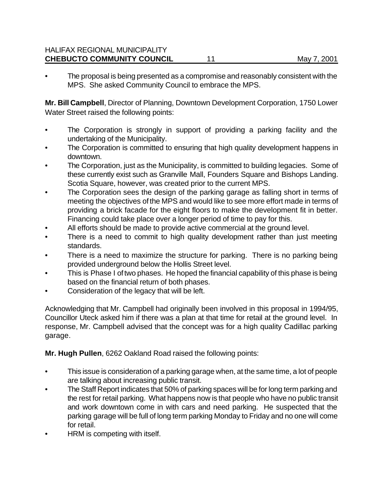#### HALIFAX REGIONAL MUNICIPALITY **CHEBUCTO COMMUNITY COUNCIL** 11 11 May 7, 2001

• The proposal is being presented as a compromise and reasonably consistent with the MPS. She asked Community Council to embrace the MPS.

**Mr. Bill Campbell**, Director of Planning, Downtown Development Corporation, 1750 Lower Water Street raised the following points:

- The Corporation is strongly in support of providing a parking facility and the undertaking of the Municipality.
- The Corporation is committed to ensuring that high quality development happens in downtown.
- The Corporation, just as the Municipality, is committed to building legacies. Some of these currently exist such as Granville Mall, Founders Square and Bishops Landing. Scotia Square, however, was created prior to the current MPS.
- The Corporation sees the design of the parking garage as falling short in terms of meeting the objectives of the MPS and would like to see more effort made in terms of providing a brick facade for the eight floors to make the development fit in better. Financing could take place over a longer period of time to pay for this.
- All efforts should be made to provide active commercial at the ground level.
- There is a need to commit to high quality development rather than just meeting standards.
- There is a need to maximize the structure for parking. There is no parking being provided underground below the Hollis Street level.
- This is Phase I of two phases. He hoped the financial capability of this phase is being based on the financial return of both phases.
- Consideration of the legacy that will be left.

Acknowledging that Mr. Campbell had originally been involved in this proposal in 1994/95, Councillor Uteck asked him if there was a plan at that time for retail at the ground level. In response, Mr. Campbell advised that the concept was for a high quality Cadillac parking garage.

**Mr. Hugh Pullen**, 6262 Oakland Road raised the following points:

- This issue is consideration of a parking garage when, at the same time, a lot of people are talking about increasing public transit.
- The Staff Report indicates that 50% of parking spaces will be for long term parking and the rest for retail parking. What happens now is that people who have no public transit and work downtown come in with cars and need parking. He suspected that the parking garage will be full of long term parking Monday to Friday and no one will come for retail.
- HRM is competing with itself.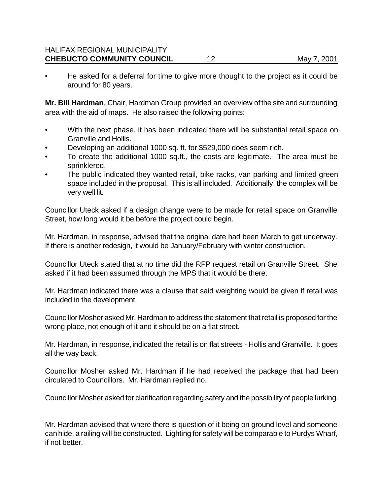• He asked for a deferral for time to give more thought to the project as it could be around for 80 years.

**Mr. Bill Hardman**, Chair, Hardman Group provided an overview of the site and surrounding area with the aid of maps. He also raised the following points:

- With the next phase, it has been indicated there will be substantial retail space on Granville and Hollis.
- Developing an additional 1000 sq. ft. for \$529,000 does seem rich.
- To create the additional 1000 sq.ft., the costs are legitimate. The area must be sprinklered.
- The public indicated they wanted retail, bike racks, van parking and limited green space included in the proposal. This is all included. Additionally, the complex will be very well lit.

Councillor Uteck asked if a design change were to be made for retail space on Granville Street, how long would it be before the project could begin.

Mr. Hardman, in response, advised that the original date had been March to get underway. If there is another redesign, it would be January/February with winter construction.

Councillor Uteck stated that at no time did the RFP request retail on Granville Street. She asked if it had been assumed through the MPS that it would be there.

Mr. Hardman indicated there was a clause that said weighting would be given if retail was included in the development.

Councillor Mosher asked Mr. Hardman to address the statement that retail is proposed for the wrong place, not enough of it and it should be on a flat street.

Mr. Hardman, in response, indicated the retail is on flat streets - Hollis and Granville. It goes all the way back.

Councillor Mosher asked Mr. Hardman if he had received the package that had been circulated to Councillors. Mr. Hardman replied no.

Councillor Mosher asked for clarification regarding safety and the possibility of people lurking.

Mr. Hardman advised that where there is question of it being on ground level and someone can hide, a railing will be constructed. Lighting for safety will be comparable to Purdys Wharf, if not better.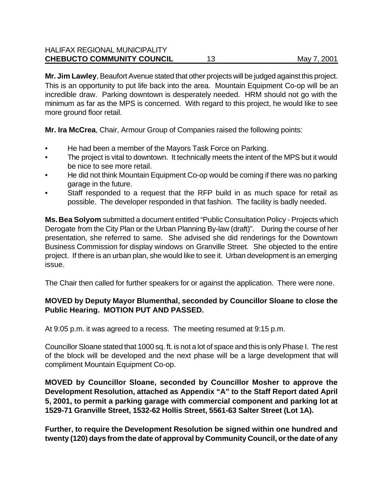#### HALIFAX REGIONAL MUNICIPALITY **CHEBUCTO COMMUNITY COUNCIL** 13 May 7, 2001

**Mr. Jim Lawley**, Beaufort Avenue stated that other projects will be judged against this project. This is an opportunity to put life back into the area. Mountain Equipment Co-op will be an incredible draw. Parking downtown is desperately needed. HRM should not go with the minimum as far as the MPS is concerned. With regard to this project, he would like to see more ground floor retail.

**Mr. Ira McCrea**, Chair, Armour Group of Companies raised the following points:

- He had been a member of the Mayors Task Force on Parking.
- The project is vital to downtown. It technically meets the intent of the MPS but it would be nice to see more retail.
- He did not think Mountain Equipment Co-op would be coming if there was no parking garage in the future.
- Staff responded to a request that the RFP build in as much space for retail as possible. The developer responded in that fashion. The facility is badly needed.

**Ms. Bea Solyom** submitted a document entitled "Public Consultation Policy - Projects which Derogate from the City Plan or the Urban Planning By-law (draft)". During the course of her presentation, she referred to same. She advised she did renderings for the Downtown Business Commission for display windows on Granville Street. She objected to the entire project. If there is an urban plan, she would like to see it. Urban development is an emerging issue.

The Chair then called for further speakers for or against the application. There were none.

#### **MOVED by Deputy Mayor Blumenthal, seconded by Councillor Sloane to close the Public Hearing. MOTION PUT AND PASSED.**

At 9:05 p.m. it was agreed to a recess. The meeting resumed at 9:15 p.m.

Councillor Sloane stated that 1000 sq. ft. is not a lot of space and this is only Phase I. The rest of the block will be developed and the next phase will be a large development that will compliment Mountain Equipment Co-op.

**MOVED by Councillor Sloane, seconded by Councillor Mosher to approve the Development Resolution, attached as Appendix "A" to the Staff Report dated April 5, 2001, to permit a parking garage with commercial component and parking lot at 1529-71 Granville Street, 1532-62 Hollis Street, 5561-63 Salter Street (Lot 1A).**

**Further, to require the Development Resolution be signed within one hundred and twenty (120) days from the date of approval by Community Council, or the date of any**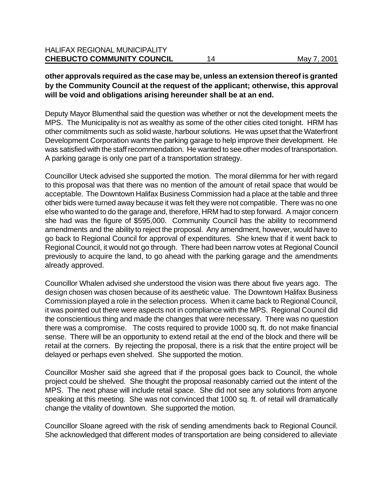#### **other approvals required as the case may be, unless an extension thereof is granted by the Community Council at the request of the applicant; otherwise, this approval will be void and obligations arising hereunder shall be at an end.**

Deputy Mayor Blumenthal said the question was whether or not the development meets the MPS. The Municipality is not as wealthy as some of the other cities cited tonight. HRM has other commitments such as solid waste, harbour solutions. He was upset that the Waterfront Development Corporation wants the parking garage to help improve their development. He was satisfied with the staff recommendation. He wanted to see other modes of transportation. A parking garage is only one part of a transportation strategy.

Councillor Uteck advised she supported the motion. The moral dilemma for her with regard to this proposal was that there was no mention of the amount of retail space that would be acceptable. The Downtown Halifax Business Commission had a place at the table and three other bids were turned away because it was felt they were not compatible. There was no one else who wanted to do the garage and, therefore, HRM had to step forward. A major concern she had was the figure of \$595,000. Community Council has the ability to recommend amendments and the ability to reject the proposal. Any amendment, however, would have to go back to Regional Council for approval of expenditures. She knew that if it went back to Regional Council, it would not go through. There had been narrow votes at Regional Council previously to acquire the land, to go ahead with the parking garage and the amendments already approved.

Councillor Whalen advised she understood the vision was there about five years ago. The design chosen was chosen because of its aesthetic value. The Downtown Halifax Business Commission played a role in the selection process. When it came back to Regional Council, it was pointed out there were aspects not in compliance with the MPS. Regional Council did the conscientious thing and made the changes that were necessary. There was no question there was a compromise. The costs required to provide 1000 sq. ft. do not make financial sense. There will be an opportunity to extend retail at the end of the block and there will be retail at the corners. By rejecting the proposal, there is a risk that the entire project will be delayed or perhaps even shelved. She supported the motion.

Councillor Mosher said she agreed that if the proposal goes back to Council, the whole project could be shelved. She thought the proposal reasonably carried out the intent of the MPS. The next phase will include retail space. She did not see any solutions from anyone speaking at this meeting. She was not convinced that 1000 sq. ft. of retail will dramatically change the vitality of downtown. She supported the motion.

Councillor Sloane agreed with the risk of sending amendments back to Regional Council. She acknowledged that different modes of transportation are being considered to alleviate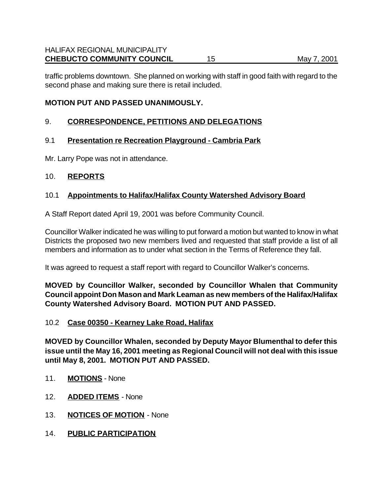traffic problems downtown. She planned on working with staff in good faith with regard to the second phase and making sure there is retail included.

#### **MOTION PUT AND PASSED UNANIMOUSLY.**

#### 9. **CORRESPONDENCE, PETITIONS AND DELEGATIONS**

#### 9.1 **Presentation re Recreation Playground - Cambria Park**

Mr. Larry Pope was not in attendance.

#### 10. **REPORTS**

#### 10.1 **Appointments to Halifax/Halifax County Watershed Advisory Board**

A Staff Report dated April 19, 2001 was before Community Council.

Councillor Walker indicated he was willing to put forward a motion but wanted to know in what Districts the proposed two new members lived and requested that staff provide a list of all members and information as to under what section in the Terms of Reference they fall.

It was agreed to request a staff report with regard to Councillor Walker's concerns.

**MOVED by Councillor Walker, seconded by Councillor Whalen that Community Council appoint Don Mason and Mark Leaman as new members of the Halifax/Halifax County Watershed Advisory Board. MOTION PUT AND PASSED.**

#### 10.2 **Case 00350 - Kearney Lake Road, Halifax**

**MOVED by Councillor Whalen, seconded by Deputy Mayor Blumenthal to defer this issue until the May 16, 2001 meeting as Regional Council will not deal with this issue until May 8, 2001. MOTION PUT AND PASSED.** 

- 11. **MOTIONS** None
- 12. **ADDED ITEMS** None
- 13. **NOTICES OF MOTION** None
- 14. **PUBLIC PARTICIPATION**